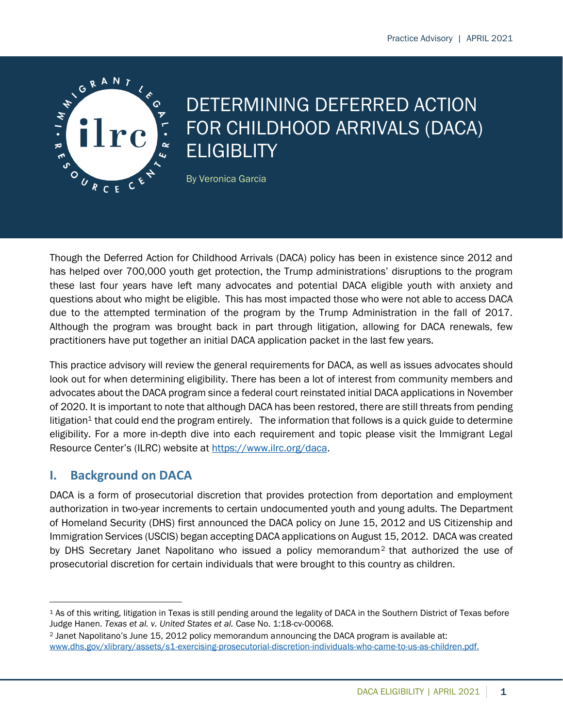

# DETERMINING DEFERRED ACTION FOR CHILDHOOD ARRIVALS (DACA) **ELIGIBLITY**

By Veronica Garcia

Though the Deferred Action for Childhood Arrivals (DACA) policy has been in existence since 2012 and has helped over 700,000 youth get protection, the Trump administrations' disruptions to the program these last four years have left many advocates and potential DACA eligible youth with anxiety and questions about who might be eligible. This has most impacted those who were not able to access DACA due to the attempted termination of the program by the Trump Administration in the fall of 2017. Although the program was brought back in part through litigation, allowing for DACA renewals, few practitioners have put together an initial DACA application packet in the last few years.

This practice advisory will review the general requirements for DACA, as well as issues advocates should look out for when determining eligibility. There has been a lot of interest from community members and advocates about the DACA program since a federal court reinstated initial DACA applications in November of 2020. It is important to note that although DACA has been restored, there are still threats from pending litigation<sup>1</sup> that could end the program entirely. The information that follows is a quick guide to determine eligibility. For a more in-depth dive into each requirement and topic please visit the Immigrant Legal Resource Center's (ILRC) website at [https://www.ilrc.org/daca.](https://www.ilrc.org/daca)

# **I. Background on DACA**

DACA is a form of prosecutorial discretion that provides protection from deportation and employment authorization in two-year increments to certain undocumented youth and young adults. The Department of Homeland Security (DHS) first announced the DACA policy on June 15, 2012 and US Citizenship and Immigration Services (USCIS) began accepting DACA applications on August 15, 2012. DACA was created by DHS Secretary Janet Napolitano who issued a policy memorandum<sup>2</sup> that authorized the use of prosecutorial discretion for certain individuals that were brought to this country as children.

<sup>1</sup> As of this writing, litigation in Texas is still pending around the legality of DACA in the Southern District of Texas before Judge Hanen. *Texas et al. v. United States et al.* Case No. 1:18-cv-00068.

<sup>2</sup> Janet Napolitano's June 15, 2012 policy memorandum announcing the DACA program is available at: [www.dhs.gov/xlibrary/assets/s1-exercising-prosecutorial-discretion-individuals-who-came-to-us-as-children.pdf.](http://www.dhs.gov/xlibrary/assets/s1-exercising-prosecutorial-discretion-individuals-who-came-to-us-as-children.pdf)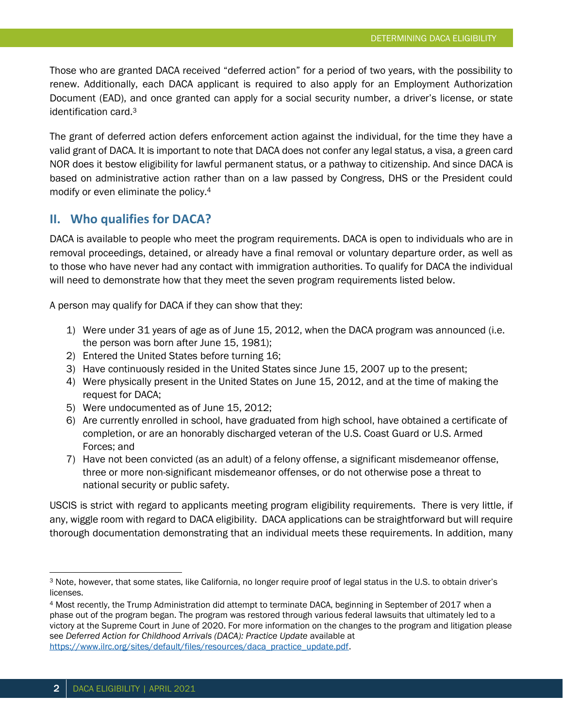Those who are granted DACA received "deferred action" for a period of two years, with the possibility to renew. Additionally, each DACA applicant is required to also apply for an Employment Authorization Document (EAD), and once granted can apply for a social security number, a driver's license, or state identification card.<sup>3</sup>

The grant of deferred action defers enforcement action against the individual, for the time they have a valid grant of DACA. It is important to note that DACA does not confer any legal status, a visa, a green card NOR does it bestow eligibility for lawful permanent status, or a pathway to citizenship. And since DACA is based on administrative action rather than on a law passed by Congress, DHS or the President could modify or even eliminate the policy.<sup>4</sup>

## **II. Who qualifies for DACA?**

DACA is available to people who meet the program requirements. DACA is open to individuals who are in removal proceedings, detained, or already have a final removal or voluntary departure order, as well as to those who have never had any contact with immigration authorities. To qualify for DACA the individual will need to demonstrate how that they meet the seven program requirements listed below.

A person may qualify for DACA if they can show that they:

- 1) Were under 31 years of age as of June 15, 2012, when the DACA program was announced (i.e. the person was born after June 15, 1981);
- 2) Entered the United States before turning 16;
- 3) Have continuously resided in the United States since June 15, 2007 up to the present;
- 4) Were physically present in the United States on June 15, 2012, and at the time of making the request for DACA;
- 5) Were undocumented as of June 15, 2012;
- 6) Are currently enrolled in school, have graduated from high school, have obtained a certificate of completion, or are an honorably discharged veteran of the U.S. Coast Guard or U.S. Armed Forces; and
- 7) Have not been convicted (as an adult) of a felony offense, a significant misdemeanor offense, three or more non-significant misdemeanor offenses, or do not otherwise pose a threat to national security or public safety.

USCIS is strict with regard to applicants meeting program eligibility requirements. There is very little, if any, wiggle room with regard to DACA eligibility. DACA applications can be straightforward but will require thorough documentation demonstrating that an individual meets these requirements. In addition, many

<sup>3</sup> Note, however, that some states, like California, no longer require proof of legal status in the U.S. to obtain driver's licenses.

<sup>4</sup> Most recently, the Trump Administration did attempt to terminate DACA, beginning in September of 2017 when a phase out of the program began. The program was restored through various federal lawsuits that ultimately led to a victory at the Supreme Court in June of 2020. For more information on the changes to the program and litigation please see *Deferred Action for Childhood Arrivals (DACA): Practice Update* available at [https://www.ilrc.org/sites/default/files/resources/daca\\_practice\\_update.pdf.](https://www.ilrc.org/sites/default/files/resources/daca_practice_update.pdf)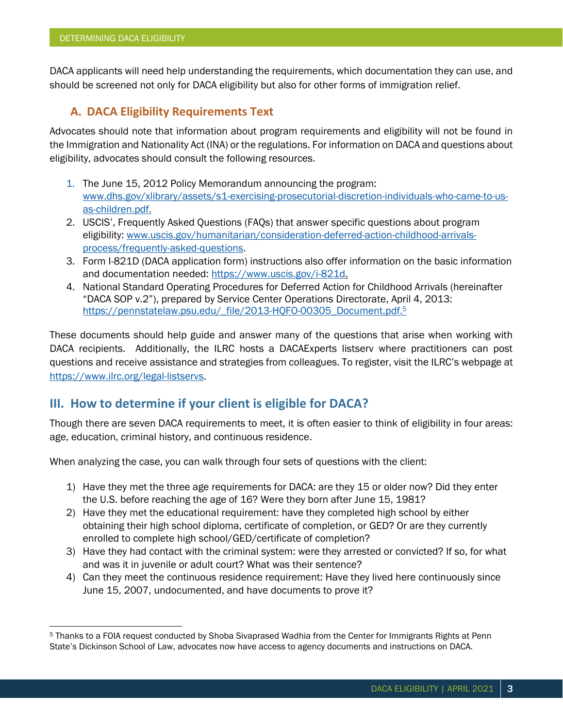DACA applicants will need help understanding the requirements, which documentation they can use, and should be screened not only for DACA eligibility but also for other forms of immigration relief.

# **A. DACA Eligibility Requirements Text**

Advocates should note that information about program requirements and eligibility will not be found in the Immigration and Nationality Act (INA) or the regulations. For information on DACA and questions about eligibility, advocates should consult the following resources.

- 1. The June 15, 2012 Policy Memorandum announcing the program: [www.dhs.gov/xlibrary/assets/s1-exercising-prosecutorial-discretion-individuals-who-came-to-us](http://www.dhs.gov/xlibrary/assets/s1-exercising-prosecutorial-discretion-individuals-who-came-to-us-as-children.pdf)[as-children.pdf.](http://www.dhs.gov/xlibrary/assets/s1-exercising-prosecutorial-discretion-individuals-who-came-to-us-as-children.pdf)
- 2. USCIS', Frequently Asked Questions (FAQs) that answer specific questions about program eligibility: [www.uscis.gov/humanitarian/consideration-deferred-action-childhood-arrivals](http://www.uscis.gov/humanitarian/consideration-deferred-action-childhood-arrivals-process/frequently-asked-questions)[process/frequently-asked-questions.](http://www.uscis.gov/humanitarian/consideration-deferred-action-childhood-arrivals-process/frequently-asked-questions)
- 3. Form I-821D (DACA application form) instructions also offer information on the basic information and documentation needed: [https://www.uscis.gov/i-821d.](https://www.uscis.gov/i-821d)
- 4. National Standard Operating Procedures for Deferred Action for Childhood Arrivals (hereinafter "DACA SOP v.2"), prepared by Service Center Operations Directorate, April 4, 2013: [https://pennstatelaw.psu.edu/\\_file/2013-HQFO-00305\\_Document.pdf.](https://pennstatelaw.psu.edu/_file/2013-HQFO-00305_Document.pdf)<sup>5</sup>

These documents should help guide and answer many of the questions that arise when working with DACA recipients. Additionally, the ILRC hosts a DACAExperts listserv where practitioners can post questions and receive assistance and strategies from colleagues. To register, visit the ILRC's webpage at [https://www.ilrc.org/legal-listservs.](https://www.ilrc.org/legal-listservs)

# **III. How to determine if your client is eligible for DACA?**

Though there are seven DACA requirements to meet, it is often easier to think of eligibility in four areas: age, education, criminal history, and continuous residence.

When analyzing the case, you can walk through four sets of questions with the client:

- 1) Have they met the three age requirements for DACA: are they 15 or older now? Did they enter the U.S. before reaching the age of 16? Were they born after June 15, 1981?
- 2) Have they met the educational requirement: have they completed high school by either obtaining their high school diploma, certificate of completion, or GED? Or are they currently enrolled to complete high school/GED/certificate of completion?
- 3) Have they had contact with the criminal system: were they arrested or convicted? If so, for what and was it in juvenile or adult court? What was their sentence?
- 4) Can they meet the continuous residence requirement: Have they lived here continuously since June 15, 2007, undocumented, and have documents to prove it?

<sup>5</sup> Thanks to a FOIA request conducted by Shoba Sivaprased Wadhia from the Center for Immigrants Rights at Penn State's Dickinson School of Law, advocates now have access to agency documents and instructions on DACA.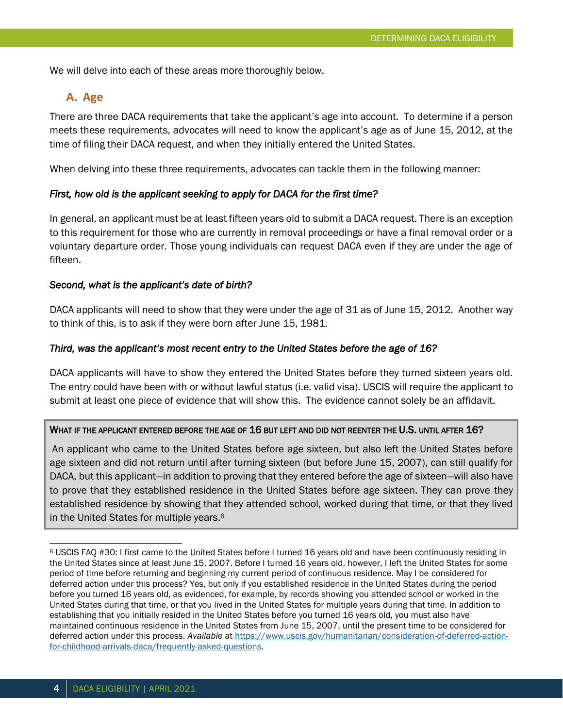We will delve into each of these areas more thoroughly below.

## **A. Age**

There are three DACA requirements that take the applicant's age into account. To determine if a person meets these requirements, advocates will need to know the applicant's age as of June 15, 2012, at the time of filing their DACA request, and when they initially entered the United States.

When delving into these three requirements, advocates can tackle them in the following manner:

#### *First, how old is the applicant seeking to apply for DACA for the first time?*

In general, an applicant must be at least fifteen years old to submit a DACA request. There is an exception to this requirement for those who are currently in removal proceedings or have a final removal order or a voluntary departure order. Those young individuals can request DACA even if they are under the age of fifteen.

#### *Second, what is the applicant's date of birth?*

DACA applicants will need to show that they were under the age of 31 as of June 15, 2012. Another way to think of this, is to ask if they were born after June 15, 1981.

#### *Third, was the applicant's most recent entry to the United States before the age of 16?*

DACA applicants will have to show they entered the United States before they turned sixteen years old. The entry could have been with or without lawful status (i.e. valid visa). USCIS will require the applicant to submit at least one piece of evidence that will show this. The evidence cannot solely be an affidavit.

#### WHAT IF THE APPLICANT ENTERED BEFORE THE AGE OF 16 BUT LEFT AND DID NOT REENTER THE U.S. UNTIL AFTER 16?

An applicant who came to the United States before age sixteen, but also left the United States before age sixteen and did not return until after turning sixteen (but before June 15, 2007), can still qualify for DACA, but this applicant—in addition to proving that they entered before the age of sixteen—will also have to prove that they established residence in the United States before age sixteen. They can prove they established residence by showing that they attended school, worked during that time, or that they lived in the United States for multiple years.<sup>6</sup>

<sup>6</sup> USCIS FAQ #30: I first came to the United States before I turned 16 years old and have been continuously residing in the United States since at least June 15, 2007. Before I turned 16 years old, however, I left the United States for some period of time before returning and beginning my current period of continuous residence. May I be considered for deferred action under this process? Yes, but only if you established residence in the United States during the period before you turned 16 years old, as evidenced, for example, by records showing you attended school or worked in the United States during that time, or that you lived in the United States for multiple years during that time. In addition to establishing that you initially resided in the United States before you turned 16 years old, you must also have maintained continuous residence in the United States from June 15, 2007, until the present time to be considered for deferred action under this process. *Available* a[t https://www.uscis.gov/humanitarian/consideration-of-deferred-action](https://www.uscis.gov/humanitarian/consideration-of-deferred-action-for-childhood-arrivals-daca/frequently-asked-questions)[for-childhood-arrivals-daca/frequently-asked-questions.](https://www.uscis.gov/humanitarian/consideration-of-deferred-action-for-childhood-arrivals-daca/frequently-asked-questions)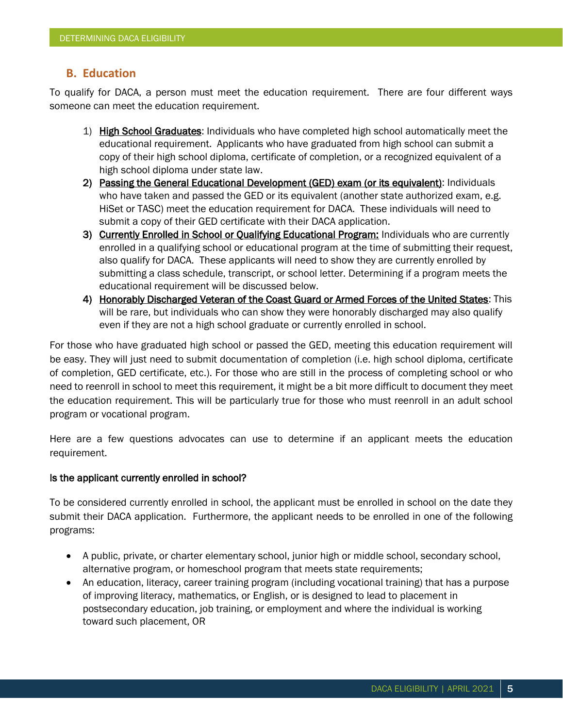## **B. Education**

To qualify for DACA, a person must meet the education requirement. There are four different ways someone can meet the education requirement.

- 1) High School Graduates: Individuals who have completed high school automatically meet the educational requirement. Applicants who have graduated from high school can submit a copy of their high school diploma, certificate of completion, or a recognized equivalent of a high school diploma under state law.
- 2) Passing the General Educational Development (GED) exam (or its equivalent): Individuals who have taken and passed the GED or its equivalent (another state authorized exam, e.g. HiSet or TASC) meet the education requirement for DACA. These individuals will need to submit a copy of their GED certificate with their DACA application.
- 3) Currently Enrolled in School or Qualifying Educational Program: Individuals who are currently enrolled in a qualifying school or educational program at the time of submitting their request, also qualify for DACA. These applicants will need to show they are currently enrolled by submitting a class schedule, transcript, or school letter. Determining if a program meets the educational requirement will be discussed below.
- 4) Honorably Discharged Veteran of the Coast Guard or Armed Forces of the United States: This will be rare, but individuals who can show they were honorably discharged may also qualify even if they are not a high school graduate or currently enrolled in school.

For those who have graduated high school or passed the GED, meeting this education requirement will be easy. They will just need to submit documentation of completion (i.e. high school diploma, certificate of completion, GED certificate, etc.). For those who are still in the process of completing school or who need to reenroll in school to meet this requirement, it might be a bit more difficult to document they meet the education requirement. This will be particularly true for those who must reenroll in an adult school program or vocational program.

Here are a few questions advocates can use to determine if an applicant meets the education requirement.

#### Is the applicant currently enrolled in school?

To be considered currently enrolled in school, the applicant must be enrolled in school on the date they submit their DACA application. Furthermore, the applicant needs to be enrolled in one of the following programs:

- A public, private, or charter elementary school, junior high or middle school, secondary school, alternative program, or homeschool program that meets state requirements;
- An education, literacy, career training program (including vocational training) that has a purpose of improving literacy, mathematics, or English, or is designed to lead to placement in postsecondary education, job training, or employment and where the individual is working toward such placement, OR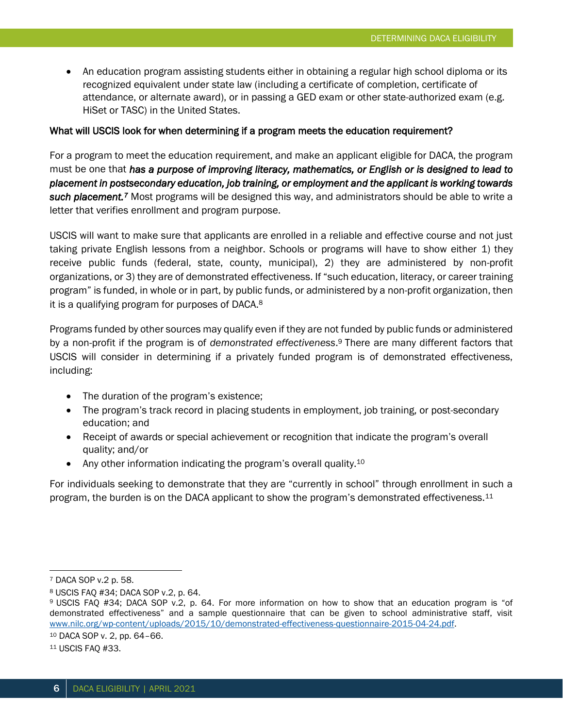• An education program assisting students either in obtaining a regular high school diploma or its recognized equivalent under state law (including a certificate of completion, certificate of attendance, or alternate award), or in passing a GED exam or other state-authorized exam (e.g. HiSet or TASC) in the United States.

#### What will USCIS look for when determining if a program meets the education requirement?

For a program to meet the education requirement, and make an applicant eligible for DACA, the program must be one that *has a purpose of improving literacy, mathematics, or English or is designed to lead to placement in postsecondary education, job training, or employment and the applicant is working towards*  **such placement.**<sup>7</sup> Most programs will be designed this way, and administrators should be able to write a letter that verifies enrollment and program purpose.

USCIS will want to make sure that applicants are enrolled in a reliable and effective course and not just taking private English lessons from a neighbor. Schools or programs will have to show either 1) they receive public funds (federal, state, county, municipal), 2) they are administered by non-profit organizations, or 3) they are of demonstrated effectiveness. If "such education, literacy, or career training program" is funded, in whole or in part, by public funds, or administered by a non-profit organization, then it is a qualifying program for purposes of DACA.<sup>8</sup>

Programs funded by other sources may qualify even if they are not funded by public funds or administered by a non-profit if the program is of *demonstrated effectiveness*. <sup>9</sup> There are many different factors that USCIS will consider in determining if a privately funded program is of demonstrated effectiveness, including:

- The duration of the program's existence;
- The program's track record in placing students in employment, job training, or post-secondary education; and
- Receipt of awards or special achievement or recognition that indicate the program's overall quality; and/or
- Any other information indicating the program's overall quality.<sup>10</sup>

For individuals seeking to demonstrate that they are "currently in school" through enrollment in such a program, the burden is on the DACA applicant to show the program's demonstrated effectiveness.<sup>11</sup>

<sup>10</sup> DACA SOP v. 2, pp. 64–66.

<sup>7</sup> DACA SOP v.2 p. 58.

<sup>8</sup> USCIS FAQ #34; DACA SOP v.2, p. 64.

<sup>9</sup> USCIS FAQ #34; DACA SOP v.2, p. 64. For more information on how to show that an education program is "of demonstrated effectiveness" and a sample questionnaire that can be given to school administrative staff, visit [www.nilc.org/wp-content/uploads/2015/10/demonstrated-effectiveness-questionnaire-2015-04-24.pdf.](http://www.nilc.org/wp-content/uploads/2015/10/demonstrated-effectiveness-questionnaire-2015-04-24.pdf)

<sup>11</sup> USCIS FAQ #33.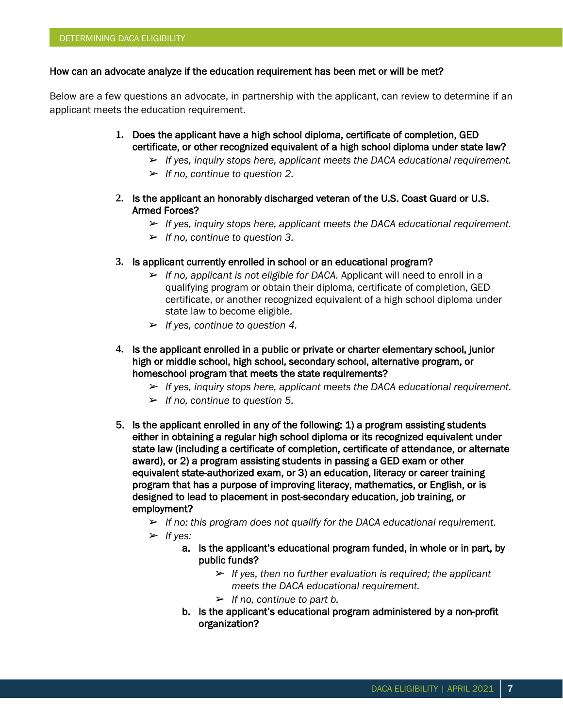#### How can an advocate analyze if the education requirement has been met or will be met?

Below are a few questions an advocate, in partnership with the applicant, can review to determine if an applicant meets the education requirement.

- **1.** Does the applicant have a high school diploma, certificate of completion, GED certificate, or other recognized equivalent of a high school diploma under state law?
	- ➢ *If yes, inquiry stops here, applicant meets the DACA educational requirement.*
	- ➢ *If no, continue to question 2.*
- **2.** Is the applicant an honorably discharged veteran of the U.S. Coast Guard or U.S. Armed Forces?
	- ➢ *If yes, inquiry stops here, applicant meets the DACA educational requirement.*
	- ➢ *If no, continue to question 3.*
- **3.** Is applicant currently enrolled in school or an educational program?
	- ➢ *If no, applicant is not eligible for DACA.* Applicant will need to enroll in a qualifying program or obtain their diploma, certificate of completion, GED certificate, or another recognized equivalent of a high school diploma under state law to become eligible.
	- ➢ *If yes, continue to question 4.*
- **4.** Is the applicant enrolled in a public or private or charter elementary school, junior high or middle school, high school, secondary school, alternative program, or homeschool program that meets the state requirements?
	- ➢ *If yes, inquiry stops here, applicant meets the DACA educational requirement.*
	- ➢ *If no, continue to question 5.*
- 5. Is the applicant enrolled in any of the following: 1) a program assisting students either in obtaining a regular high school diploma or its recognized equivalent under state law (including a certificate of completion, certificate of attendance, or alternate award), or 2) a program assisting students in passing a GED exam or other equivalent state-authorized exam, or 3) an education, literacy or career training program that has a purpose of improving literacy, mathematics, or English, or is designed to lead to placement in post-secondary education, job training, or employment?
	- ➢ *If no: this program does not qualify for the DACA educational requirement.*
	- ➢ *If yes:*
		- a. Is the applicant's educational program funded, in whole or in part, by public funds?
			- ➢ *If yes, then no further evaluation is required; the applicant meets the DACA educational requirement.*
			- ➢ *If no, continue to part b.*
		- b. Is the applicant's educational program administered by a non-profit organization?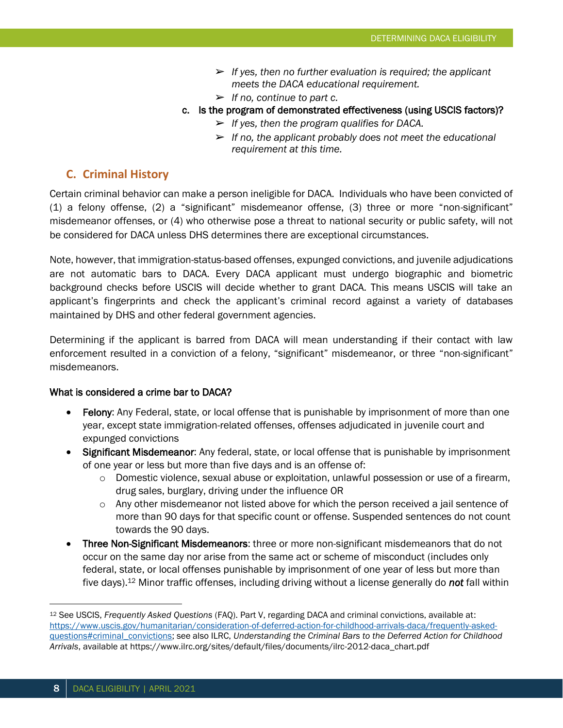- ➢ *If yes, then no further evaluation is required; the applicant meets the DACA educational requirement.*
- ➢ *If no, continue to part c.*
- c. Is the program of demonstrated effectiveness (using USCIS factors)?
	- ➢ *If yes, then the program qualifies for DACA.*
	- ➢ *If no, the applicant probably does not meet the educational requirement at this time.*

#### **C. Criminal History**

Certain criminal behavior can make a person ineligible for DACA. Individuals who have been convicted of (1) a felony offense, (2) a "significant" misdemeanor offense, (3) three or more "non-significant" misdemeanor offenses, or (4) who otherwise pose a threat to national security or public safety, will not be considered for DACA unless DHS determines there are exceptional circumstances.

Note, however, that immigration-status-based offenses, expunged convictions, and juvenile adjudications are not automatic bars to DACA. Every DACA applicant must undergo biographic and biometric background checks before USCIS will decide whether to grant DACA. This means USCIS will take an applicant's fingerprints and check the applicant's criminal record against a variety of databases maintained by DHS and other federal government agencies.

Determining if the applicant is barred from DACA will mean understanding if their contact with law enforcement resulted in a conviction of a felony, "significant" misdemeanor, or three "non-significant" misdemeanors.

#### What is considered a crime bar to DACA?

- Felony: Any Federal, state, or local offense that is punishable by imprisonment of more than one year, except state immigration-related offenses, offenses adjudicated in juvenile court and expunged convictions
- Significant Misdemeanor: Any federal, state, or local offense that is punishable by imprisonment of one year or less but more than five days and is an offense of:
	- $\circ$  Domestic violence, sexual abuse or exploitation, unlawful possession or use of a firearm, drug sales, burglary, driving under the influence OR
	- $\circ$  Any other misdemeanor not listed above for which the person received a jail sentence of more than 90 days for that specific count or offense. Suspended sentences do not count towards the 90 days.
- Three Non-Significant Misdemeanors: three or more non-significant misdemeanors that do not occur on the same day nor arise from the same act or scheme of misconduct (includes only federal, state, or local offenses punishable by imprisonment of one year of less but more than five days).<sup>12</sup> Minor traffic offenses, including driving without a license generally do *not* fall within

<sup>12</sup> See USCIS, *Frequently Asked Questions* (FAQ). Part V, regarding DACA and criminal convictions, available at: [https://www.uscis.gov/humanitarian/consideration-of-deferred-action-for-childhood-arrivals-daca/frequently-asked](https://www.uscis.gov/humanitarian/consideration-of-deferred-action-for-childhood-arrivals-daca/frequently-asked-questions#criminal_convictions)[questions#criminal\\_convictions;](https://www.uscis.gov/humanitarian/consideration-of-deferred-action-for-childhood-arrivals-daca/frequently-asked-questions#criminal_convictions) see also ILRC, *Understanding the Criminal Bars to the Deferred Action for Childhood Arrivals*, available at https://www.ilrc.org/sites/default/files/documents/ilrc-2012-daca\_chart.pdf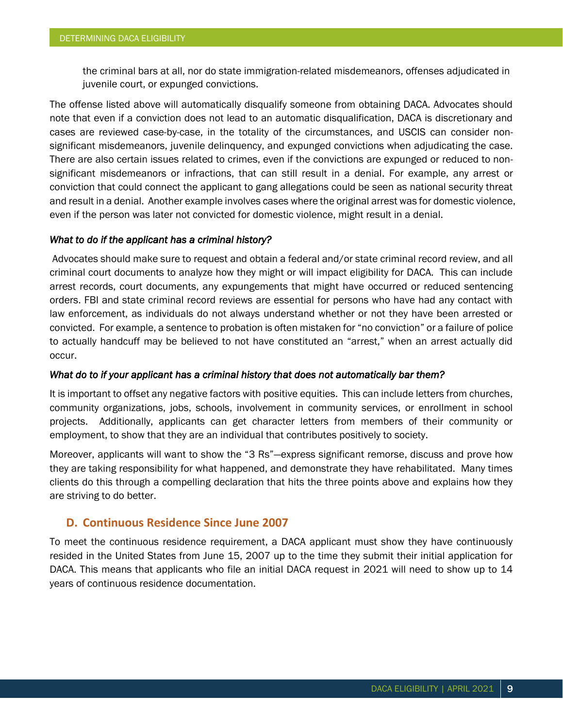the criminal bars at all, nor do state immigration-related misdemeanors, offenses adjudicated in juvenile court, or expunged convictions.

The offense listed above will automatically disqualify someone from obtaining DACA. Advocates should note that even if a conviction does not lead to an automatic disqualification, DACA is discretionary and cases are reviewed case-by-case, in the totality of the circumstances, and USCIS can consider nonsignificant misdemeanors, juvenile delinquency, and expunged convictions when adjudicating the case. There are also certain issues related to crimes, even if the convictions are expunged or reduced to nonsignificant misdemeanors or infractions, that can still result in a denial. For example, any arrest or conviction that could connect the applicant to gang allegations could be seen as national security threat and result in a denial. Another example involves cases where the original arrest was for domestic violence, even if the person was later not convicted for domestic violence, might result in a denial.

#### *What to do if the applicant has a criminal history?*

 Advocates should make sure to request and obtain a federal and/or state criminal record review, and all criminal court documents to analyze how they might or will impact eligibility for DACA. This can include arrest records, court documents, any expungements that might have occurred or reduced sentencing orders. FBI and state criminal record reviews are essential for persons who have had any contact with law enforcement, as individuals do not always understand whether or not they have been arrested or convicted. For example, a sentence to probation is often mistaken for "no conviction" or a failure of police to actually handcuff may be believed to not have constituted an "arrest," when an arrest actually did occur.

#### *What do to if your applicant has a criminal history that does not automatically bar them?*

It is important to offset any negative factors with positive equities. This can include letters from churches, community organizations, jobs, schools, involvement in community services, or enrollment in school projects. Additionally, applicants can get character letters from members of their community or employment, to show that they are an individual that contributes positively to society.

Moreover, applicants will want to show the "3 Rs"—express significant remorse, discuss and prove how they are taking responsibility for what happened, and demonstrate they have rehabilitated. Many times clients do this through a compelling declaration that hits the three points above and explains how they are striving to do better.

### **D. Continuous Residence Since June 2007**

To meet the continuous residence requirement, a DACA applicant must show they have continuously resided in the United States from June 15, 2007 up to the time they submit their initial application for DACA. This means that applicants who file an initial DACA request in 2021 will need to show up to 14 years of continuous residence documentation.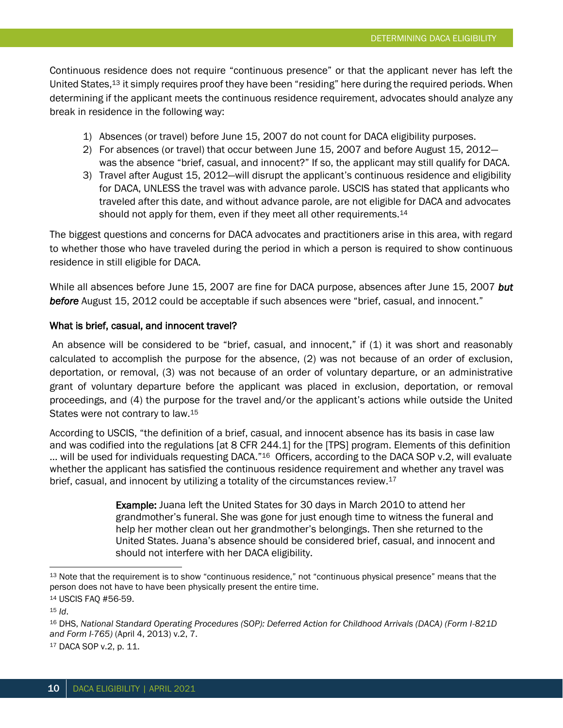Continuous residence does not require "continuous presence" or that the applicant never has left the United States,<sup>13</sup> it simply requires proof they have been "residing" here during the required periods. When determining if the applicant meets the continuous residence requirement, advocates should analyze any break in residence in the following way:

- 1) Absences (or travel) before June 15, 2007 do not count for DACA eligibility purposes.
- 2) For absences (or travel) that occur between June 15, 2007 and before August 15, 2012 was the absence "brief, casual, and innocent?" If so, the applicant may still qualify for DACA.
- 3) Travel after August 15, 2012—will disrupt the applicant's continuous residence and eligibility for DACA, UNLESS the travel was with advance parole. USCIS has stated that applicants who traveled after this date, and without advance parole, are not eligible for DACA and advocates should not apply for them, even if they meet all other requirements.<sup>14</sup>

The biggest questions and concerns for DACA advocates and practitioners arise in this area, with regard to whether those who have traveled during the period in which a person is required to show continuous residence in still eligible for DACA.

While all absences before June 15, 2007 are fine for DACA purpose, absences after June 15, 2007 *but before* August 15, 2012 could be acceptable if such absences were "brief, casual, and innocent."

#### What is brief, casual, and innocent travel?

An absence will be considered to be "brief, casual, and innocent," if (1) it was short and reasonably calculated to accomplish the purpose for the absence, (2) was not because of an order of exclusion, deportation, or removal, (3) was not because of an order of voluntary departure, or an administrative grant of voluntary departure before the applicant was placed in exclusion, deportation, or removal proceedings, and (4) the purpose for the travel and/or the applicant's actions while outside the United States were not contrary to law.<sup>15</sup>

According to USCIS, "the definition of a brief, casual, and innocent absence has its basis in case law and was codified into the regulations [at 8 CFR 244.1] for the [TPS] program. Elements of this definition  $\ldots$  will be used for individuals requesting DACA."<sup>16</sup> Officers, according to the DACA SOP v.2, will evaluate whether the applicant has satisfied the continuous residence requirement and whether any travel was brief, casual, and innocent by utilizing a totality of the circumstances review.<sup>17</sup>

> Example: Juana left the United States for 30 days in March 2010 to attend her grandmother's funeral. She was gone for just enough time to witness the funeral and help her mother clean out her grandmother's belongings. Then she returned to the United States. Juana's absence should be considered brief, casual, and innocent and should not interfere with her DACA eligibility.

<sup>13</sup> Note that the requirement is to show "continuous residence," not "continuous physical presence" means that the person does not have to have been physically present the entire time.

<sup>14</sup> USCIS FAQ #56-59.

 $15$  *Id.* 

<sup>16</sup> DHS, *National Standard Operating Procedures (SOP): Deferred Action for Childhood Arrivals (DACA) (Form I-821D and Form I-765)* (April 4, 2013) v.2, 7.

<sup>17</sup> DACA SOP v.2, p. 11.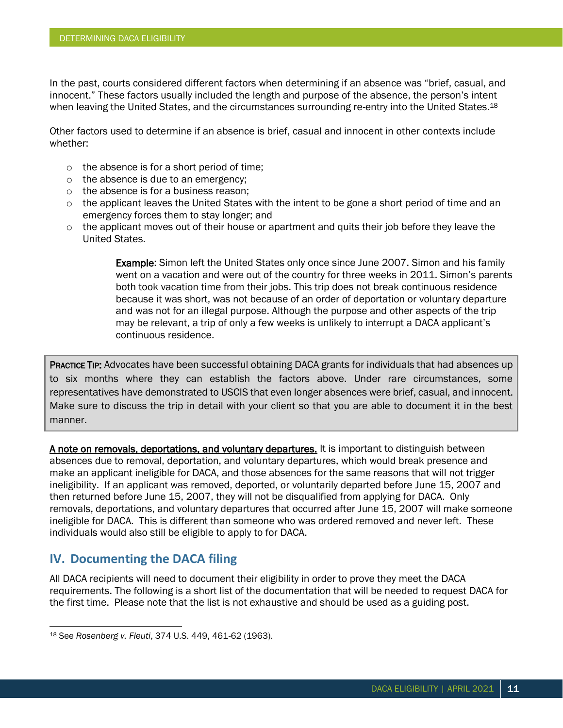In the past, courts considered different factors when determining if an absence was "brief, casual, and innocent." These factors usually included the length and purpose of the absence, the person's intent when leaving the United States, and the circumstances surrounding re-entry into the United States.<sup>18</sup>

Other factors used to determine if an absence is brief, casual and innocent in other contexts include whether:

- o the absence is for a short period of time;
- o the absence is due to an emergency;
- o the absence is for a business reason;
- o the applicant leaves the United States with the intent to be gone a short period of time and an emergency forces them to stay longer; and
- o the applicant moves out of their house or apartment and quits their job before they leave the United States.

Example: Simon left the United States only once since June 2007. Simon and his family went on a vacation and were out of the country for three weeks in 2011. Simon's parents both took vacation time from their jobs. This trip does not break continuous residence because it was short, was not because of an order of deportation or voluntary departure and was not for an illegal purpose. Although the purpose and other aspects of the trip may be relevant, a trip of only a few weeks is unlikely to interrupt a DACA applicant's continuous residence.

PRACTICE TIP: Advocates have been successful obtaining DACA grants for individuals that had absences up to six months where they can establish the factors above. Under rare circumstances, some representatives have demonstrated to USCIS that even longer absences were brief, casual, and innocent. Make sure to discuss the trip in detail with your client so that you are able to document it in the best manner.

A note on removals, deportations, and voluntary departures. It is important to distinguish between absences due to removal, deportation, and voluntary departures, which would break presence and make an applicant ineligible for DACA, and those absences for the same reasons that will not trigger ineligibility. If an applicant was removed, deported, or voluntarily departed before June 15, 2007 and then returned before June 15, 2007, they will not be disqualified from applying for DACA. Only removals, deportations, and voluntary departures that occurred after June 15, 2007 will make someone ineligible for DACA. This is different than someone who was ordered removed and never left. These individuals would also still be eligible to apply to for DACA.

## **IV. Documenting the DACA filing**

All DACA recipients will need to document their eligibility in order to prove they meet the DACA requirements. The following is a short list of the documentation that will be needed to request DACA for the first time. Please note that the list is not exhaustive and should be used as a guiding post.

<sup>18</sup> See *Rosenberg v. Fleuti*, 374 U.S. 449, 461-62 (1963).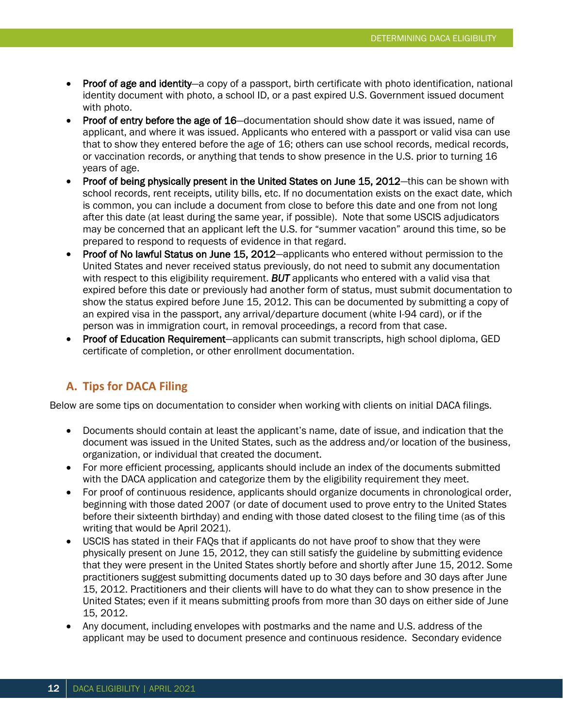- Proof of age and identity—a copy of a passport, birth certificate with photo identification, national identity document with photo, a school ID, or a past expired U.S. Government issued document with photo.
- Proof of entry before the age of 16–documentation should show date it was issued, name of applicant, and where it was issued. Applicants who entered with a passport or valid visa can use that to show they entered before the age of 16; others can use school records, medical records, or vaccination records, or anything that tends to show presence in the U.S. prior to turning 16 years of age.
- Proof of being physically present in the United States on June 15, 2012—this can be shown with school records, rent receipts, utility bills, etc. If no documentation exists on the exact date, which is common, you can include a document from close to before this date and one from not long after this date (at least during the same year, if possible). Note that some USCIS adjudicators may be concerned that an applicant left the U.S. for "summer vacation" around this time, so be prepared to respond to requests of evidence in that regard.
- Proof of No lawful Status on June 15, 2012—applicants who entered without permission to the United States and never received status previously, do not need to submit any documentation with respect to this eligibility requirement. *BUT* applicants who entered with a valid visa that expired before this date or previously had another form of status, must submit documentation to show the status expired before June 15, 2012. This can be documented by submitting a copy of an expired visa in the passport, any arrival/departure document (white I-94 card), or if the person was in immigration court, in removal proceedings, a record from that case.
- Proof of Education Requirement—applicants can submit transcripts, high school diploma, GED certificate of completion, or other enrollment documentation.

## **A. Tips for DACA Filing**

Below are some tips on documentation to consider when working with clients on initial DACA filings.

- Documents should contain at least the applicant's name, date of issue, and indication that the document was issued in the United States, such as the address and/or location of the business, organization, or individual that created the document.
- For more efficient processing, applicants should include an index of the documents submitted with the DACA application and categorize them by the eligibility requirement they meet.
- For proof of continuous residence, applicants should organize documents in chronological order, beginning with those dated 2007 (or date of document used to prove entry to the United States before their sixteenth birthday) and ending with those dated closest to the filing time (as of this writing that would be April 2021).
- USCIS has stated in their FAQs that if applicants do not have proof to show that they were physically present on June 15, 2012, they can still satisfy the guideline by submitting evidence that they were present in the United States shortly before and shortly after June 15, 2012. Some practitioners suggest submitting documents dated up to 30 days before and 30 days after June 15, 2012. Practitioners and their clients will have to do what they can to show presence in the United States; even if it means submitting proofs from more than 30 days on either side of June 15, 2012.
- Any document, including envelopes with postmarks and the name and U.S. address of the applicant may be used to document presence and continuous residence. Secondary evidence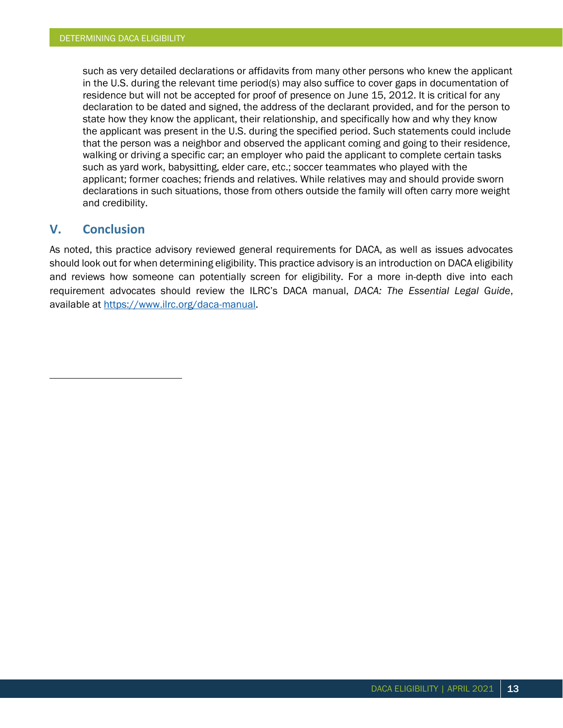such as very detailed declarations or affidavits from many other persons who knew the applicant in the U.S. during the relevant time period(s) may also suffice to cover gaps in documentation of residence but will not be accepted for proof of presence on June 15, 2012. It is critical for any declaration to be dated and signed, the address of the declarant provided, and for the person to state how they know the applicant, their relationship, and specifically how and why they know the applicant was present in the U.S. during the specified period. Such statements could include that the person was a neighbor and observed the applicant coming and going to their residence, walking or driving a specific car; an employer who paid the applicant to complete certain tasks such as yard work, babysitting, elder care, etc.; soccer teammates who played with the applicant; former coaches; friends and relatives. While relatives may and should provide sworn declarations in such situations, those from others outside the family will often carry more weight and credibility.

## **V. Conclusion**

As noted, this practice advisory reviewed general requirements for DACA, as well as issues advocates should look out for when determining eligibility. This practice advisory is an introduction on DACA eligibility and reviews how someone can potentially screen for eligibility. For a more in-depth dive into each requirement advocates should review the ILRC's DACA manual, *DACA: The Essential Legal Guide*, available at [https://www.ilrc.org/daca-manual.](https://www.ilrc.org/daca-manual)